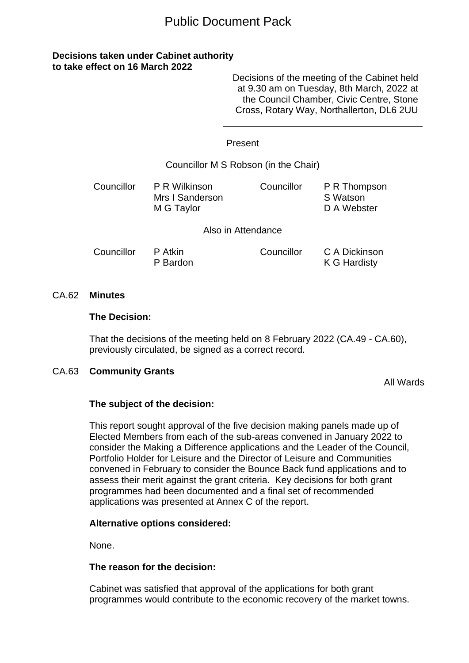# Public Document Pack

# **Decisions taken under Cabinet authority to take effect on 16 March 2022**

Decisions of the meeting of the Cabinet held at 9.30 am on Tuesday, 8th March, 2022 at the Council Chamber, Civic Centre, Stone Cross, Rotary Way, Northallerton, DL6 2UU

#### Present

#### Councillor M S Robson (in the Chair)

| Councillor | P R Wilkinson<br>Mrs I Sanderson<br>M G Taylor | Councillor         | P R Thompson<br>S Watson<br>D A Webster |
|------------|------------------------------------------------|--------------------|-----------------------------------------|
|            |                                                | Also in Attendance |                                         |

| Councillor | P Atkin  | Councillor | C A Dickinson |
|------------|----------|------------|---------------|
|            | P Bardon |            | K G Hardisty  |

#### CA.62 **Minutes**

#### **The Decision:**

That the decisions of the meeting held on 8 February 2022 (CA.49 - CA.60), previously circulated, be signed as a correct record.

#### CA.63 **Community Grants**

All Wards

#### **The subject of the decision:**

This report sought approval of the five decision making panels made up of Elected Members from each of the sub-areas convened in January 2022 to consider the Making a Difference applications and the Leader of the Council, Portfolio Holder for Leisure and the Director of Leisure and Communities convened in February to consider the Bounce Back fund applications and to assess their merit against the grant criteria. Key decisions for both grant programmes had been documented and a final set of recommended applications was presented at Annex C of the report.

#### **Alternative options considered:**

None.

# **The reason for the decision:**

Cabinet was satisfied that approval of the applications for both grant programmes would contribute to the economic recovery of the market towns.